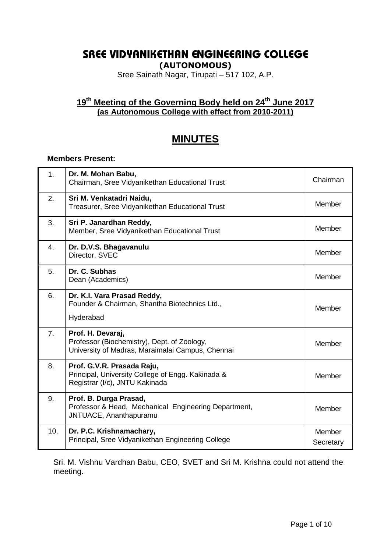# **SREE VIDYANIKETHAN ENGINEERING COLLEGE**

**(AUTONOMOUS)**

Sree Sainath Nagar, Tirupati – 517 102, A.P.

# **19 th Meeting of the Governing Body held on 24th June 2017 (as Autonomous College with effect from 2010-2011)**

# **MINUTES**

## **Members Present:**

| 1.  | Dr. M. Mohan Babu,<br>Chairman, Sree Vidyanikethan Educational Trust                                                 | Chairman            |
|-----|----------------------------------------------------------------------------------------------------------------------|---------------------|
| 2.  | Sri M. Venkatadri Naidu,<br>Treasurer, Sree Vidyanikethan Educational Trust                                          | Member              |
| 3.  | Sri P. Janardhan Reddy,<br>Member, Sree Vidyanikethan Educational Trust                                              | Member              |
| 4.  | Dr. D.V.S. Bhagavanulu<br>Director, SVEC                                                                             | Member              |
| 5.  | Dr. C. Subhas<br>Dean (Academics)                                                                                    | Member              |
| 6.  | Dr. K.I. Vara Prasad Reddy,<br>Founder & Chairman, Shantha Biotechnics Ltd.,<br>Hyderabad                            | Member              |
| 7.  | Prof. H. Devaraj,<br>Professor (Biochemistry), Dept. of Zoology,<br>University of Madras, Maraimalai Campus, Chennai | Member              |
| 8.  | Prof. G.V.R. Prasada Raju,<br>Principal, University College of Engg. Kakinada &<br>Registrar (I/c), JNTU Kakinada    | Member              |
| 9.  | Prof. B. Durga Prasad,<br>Professor & Head, Mechanical Engineering Department,<br>JNTUACE, Ananthapuramu             | Member              |
| 10. | Dr. P.C. Krishnamachary,<br>Principal, Sree Vidyanikethan Engineering College                                        | Member<br>Secretary |

Sri. M. Vishnu Vardhan Babu, CEO, SVET and Sri M. Krishna could not attend the meeting.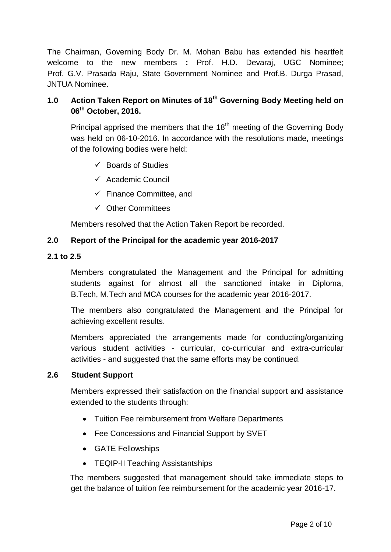The Chairman, Governing Body Dr. M. Mohan Babu has extended his heartfelt welcome to the new members **:** Prof. H.D. Devaraj, UGC Nominee; Prof. G.V. Prasada Raju, State Government Nominee and Prof.B. Durga Prasad, JNTUA Nominee.

# **1.0 Action Taken Report on Minutes of 18th Governing Body Meeting held on 06th October, 2016.**

Principal apprised the members that the  $18<sup>th</sup>$  meeting of the Governing Body was held on 06-10-2016. In accordance with the resolutions made, meetings of the following bodies were held:

- $\checkmark$  Boards of Studies
- $\checkmark$  Academic Council
- $\checkmark$  Finance Committee, and
- $\checkmark$  Other Committees

Members resolved that the Action Taken Report be recorded.

## **2.0 Report of the Principal for the academic year 2016-2017**

#### **2.1 to 2.5**

Members congratulated the Management and the Principal for admitting students against for almost all the sanctioned intake in Diploma, B.Tech, M.Tech and MCA courses for the academic year 2016-2017.

The members also congratulated the Management and the Principal for achieving excellent results.

Members appreciated the arrangements made for conducting/organizing various student activities - curricular, co-curricular and extra-curricular activities - and suggested that the same efforts may be continued.

## **2.6 Student Support**

Members expressed their satisfaction on the financial support and assistance extended to the students through:

- Tuition Fee reimbursement from Welfare Departments
- Fee Concessions and Financial Support by SVET
- GATE Fellowships
- TEQIP-II Teaching Assistantships

 The members suggested that management should take immediate steps to get the balance of tuition fee reimbursement for the academic year 2016-17.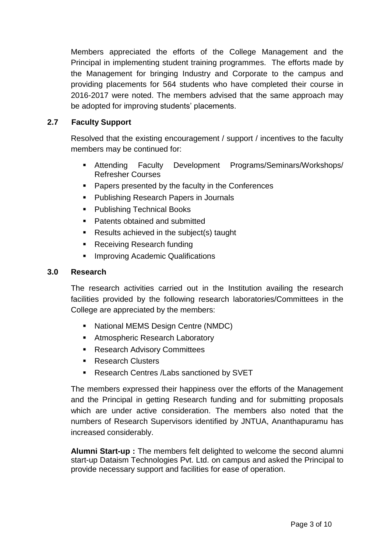Members appreciated the efforts of the College Management and the Principal in implementing student training programmes. The efforts made by the Management for bringing Industry and Corporate to the campus and providing placements for 564 students who have completed their course in 2016-2017 were noted. The members advised that the same approach may be adopted for improving students' placements.

# **2.7 Faculty Support**

Resolved that the existing encouragement / support / incentives to the faculty members may be continued for:

- Attending Faculty Development Programs/Seminars/Workshops/ Refresher Courses
- **Papers presented by the faculty in the Conferences**
- **Publishing Research Papers in Journals**
- Publishing Technical Books
- **Patents obtained and submitted**
- Results achieved in the subject(s) taught
- Receiving Research funding
- Improving Academic Qualifications

## **3.0 Research**

The research activities carried out in the Institution availing the research facilities provided by the following research laboratories/Committees in the College are appreciated by the members:

- National MEMS Design Centre (NMDC)
- Atmospheric Research Laboratory
- **Research Advisory Committees**
- Research Clusters
- **Research Centres / Labs sanctioned by SVET**

The members expressed their happiness over the efforts of the Management and the Principal in getting Research funding and for submitting proposals which are under active consideration. The members also noted that the numbers of Research Supervisors identified by JNTUA, Ananthapuramu has increased considerably.

**Alumni Start-up :** The members felt delighted to welcome the second alumni start-up Dataism Technologies Pvt. Ltd. on campus and asked the Principal to provide necessary support and facilities for ease of operation.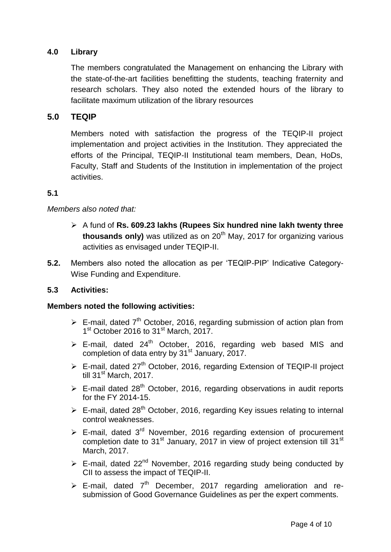# **4.0 Library**

The members congratulated the Management on enhancing the Library with the state-of-the-art facilities benefitting the students, teaching fraternity and research scholars. They also noted the extended hours of the library to facilitate maximum utilization of the library resources

## **5.0 TEQIP**

Members noted with satisfaction the progress of the TEQIP-II project implementation and project activities in the Institution. They appreciated the efforts of the Principal, TEQIP-II Institutional team members, Dean, HoDs, Faculty, Staff and Students of the Institution in implementation of the project activities.

#### **5.1**

## *Members also noted that:*

- A fund of **Rs. 609.23 lakhs (Rupees Six hundred nine lakh twenty three**  thousands only) was utilized as on 20<sup>th</sup> May, 2017 for organizing various activities as envisaged under TEQIP-II.
- **5.2.** Members also noted the allocation as per "TEQIP-PIP" Indicative Category-Wise Funding and Expenditure.

## **5.3 Activities:**

#### **Members noted the following activities:**

- $\triangleright$  E-mail, dated 7<sup>th</sup> October, 2016, regarding submission of action plan from 1<sup>st</sup> October 2016 to 31<sup>st</sup> March, 2017.
- $\triangleright$  E-mail, dated 24<sup>th</sup> October, 2016, regarding web based MIS and completion of data entry by  $31<sup>st</sup>$  January, 2017.
- $\triangleright$  E-mail, dated 27<sup>th</sup> October, 2016, regarding Extension of TEQIP-II project till 31<sup>st</sup> March, 2017.
- $\triangleright$  E-mail dated 28<sup>th</sup> October, 2016, regarding observations in audit reports for the FY 2014-15.
- $\triangleright$  E-mail, dated 28<sup>th</sup> October, 2016, regarding Key issues relating to internal control weaknesses.
- $\triangleright$  E-mail, dated 3<sup>rd</sup> November, 2016 regarding extension of procurement completion date to 31<sup>st</sup> January, 2017 in view of project extension till 31<sup>st</sup> March, 2017.
- $\triangleright$  E-mail, dated 22<sup>nd</sup> November, 2016 regarding study being conducted by CII to assess the impact of TEQIP-II.
- $\triangleright$  E-mail, dated  $7<sup>th</sup>$  December, 2017 regarding amelioration and resubmission of Good Governance Guidelines as per the expert comments.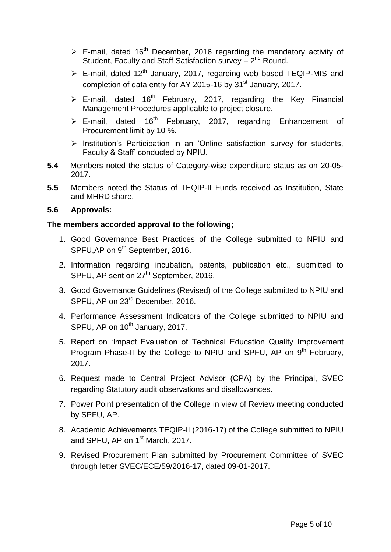- $\triangleright$  E-mail, dated 16<sup>th</sup> December, 2016 regarding the mandatory activity of Student, Faculty and Staff Satisfaction survey - 2<sup>nd</sup> Round.
- $\triangleright$  E-mail, dated 12<sup>th</sup> January, 2017, regarding web based TEQIP-MIS and completion of data entry for AY 2015-16 by 31<sup>st</sup> January, 2017.
- $\triangleright$  E-mail, dated 16<sup>th</sup> February, 2017, regarding the Key Financial Management Procedures applicable to project closure.
- $\geq$  E-mail, dated 16<sup>th</sup> February, 2017, regarding Enhancement of Procurement limit by 10 %.
- $\triangleright$  Institution's Participation in an 'Online satisfaction survey for students, Faculty & Staff" conducted by NPIU.
- **5.4** Members noted the status of Category-wise expenditure status as on 20-05- 2017.
- **5.5** Members noted the Status of TEQIP-II Funds received as Institution, State and MHRD share.

## **5.6 Approvals:**

## **The members accorded approval to the following;**

- 1. Good Governance Best Practices of the College submitted to NPIU and SPFU, AP on 9<sup>th</sup> September, 2016.
- 2. Information regarding incubation, patents, publication etc., submitted to SPFU, AP sent on 27<sup>th</sup> September, 2016.
- 3. Good Governance Guidelines (Revised) of the College submitted to NPIU and SPFU, AP on 23<sup>rd</sup> December, 2016.
- 4. Performance Assessment Indicators of the College submitted to NPIU and SPFU, AP on 10<sup>th</sup> January, 2017.
- 5. Report on "Impact Evaluation of Technical Education Quality Improvement Program Phase-II by the College to NPIU and SPFU, AP on 9<sup>th</sup> February, 2017.
- 6. Request made to Central Project Advisor (CPA) by the Principal, SVEC regarding Statutory audit observations and disallowances.
- 7. Power Point presentation of the College in view of Review meeting conducted by SPFU, AP.
- 8. Academic Achievements TEQIP-II (2016-17) of the College submitted to NPIU and SPFU, AP on 1<sup>st</sup> March, 2017.
- 9. Revised Procurement Plan submitted by Procurement Committee of SVEC through letter SVEC/ECE/59/2016-17, dated 09-01-2017.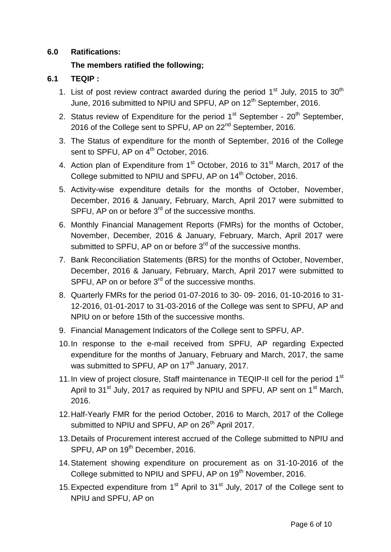## **6.0 Ratifications:**

# **The members ratified the following;**

# **6.1 TEQIP :**

- 1. List of post review contract awarded during the period  $1<sup>st</sup>$  July, 2015 to 30<sup>th</sup> June, 2016 submitted to NPIU and SPFU, AP on 12<sup>th</sup> September, 2016.
- 2. Status review of Expenditure for the period  $1<sup>st</sup>$  September  $20<sup>th</sup>$  September, 2016 of the College sent to SPFU, AP on 22<sup>nd</sup> September, 2016.
- 3. The Status of expenditure for the month of September, 2016 of the College sent to SPFU, AP on 4<sup>th</sup> October, 2016.
- 4. Action plan of Expenditure from 1<sup>st</sup> October, 2016 to 31<sup>st</sup> March, 2017 of the College submitted to NPIU and SPFU, AP on 14<sup>th</sup> October, 2016.
- 5. Activity-wise expenditure details for the months of October, November, December, 2016 & January, February, March, April 2017 were submitted to SPFU, AP on or before 3<sup>rd</sup> of the successive months.
- 6. Monthly Financial Management Reports (FMRs) for the months of October, November, December, 2016 & January, February, March, April 2017 were submitted to SPFU, AP on or before 3<sup>rd</sup> of the successive months.
- 7. Bank Reconciliation Statements (BRS) for the months of October, November, December, 2016 & January, February, March, April 2017 were submitted to SPFU, AP on or before  $3<sup>rd</sup>$  of the successive months.
- 8. Quarterly FMRs for the period 01-07-2016 to 30- 09- 2016, 01-10-2016 to 31- 12-2016, 01-01-2017 to 31-03-2016 of the College was sent to SPFU, AP and NPIU on or before 15th of the successive months.
- 9. Financial Management Indicators of the College sent to SPFU, AP.
- 10.In response to the e-mail received from SPFU, AP regarding Expected expenditure for the months of January, February and March, 2017, the same was submitted to SPFU, AP on  $17<sup>th</sup>$  January, 2017.
- 11. In view of project closure, Staff maintenance in TEQIP-II cell for the period 1<sup>st</sup> April to 31<sup>st</sup> July, 2017 as required by NPIU and SPFU, AP sent on 1<sup>st</sup> March, 2016.
- 12.Half-Yearly FMR for the period October, 2016 to March, 2017 of the College submitted to NPIU and SPFU, AP on 26<sup>th</sup> April 2017.
- 13.Details of Procurement interest accrued of the College submitted to NPIU and SPFU, AP on 19<sup>th</sup> December, 2016.
- 14.Statement showing expenditure on procurement as on 31-10-2016 of the College submitted to NPIU and SPFU, AP on 19<sup>th</sup> November, 2016.
- 15. Expected expenditure from  $1<sup>st</sup>$  April to  $31<sup>st</sup>$  July, 2017 of the College sent to NPIU and SPFU, AP on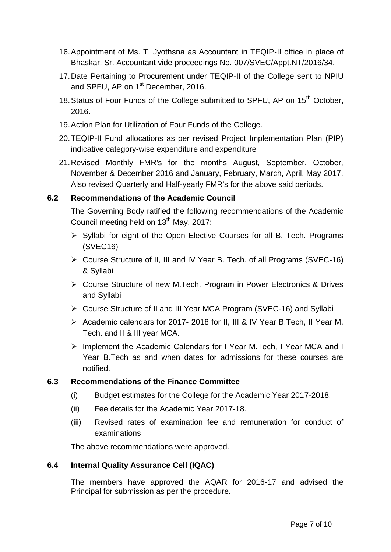- 16.Appointment of Ms. T. Jyothsna as Accountant in TEQIP-II office in place of Bhaskar, Sr. Accountant vide proceedings No. 007/SVEC/Appt.NT/2016/34.
- 17.Date Pertaining to Procurement under TEQIP-II of the College sent to NPIU and SPFU, AP on 1<sup>st</sup> December, 2016.
- 18. Status of Four Funds of the College submitted to SPFU, AP on 15<sup>th</sup> October, 2016.
- 19.Action Plan for Utilization of Four Funds of the College.
- 20.TEQIP-II Fund allocations as per revised Project Implementation Plan (PIP) indicative category-wise expenditure and expenditure
- 21.Revised Monthly FMR's for the months August, September, October, November & December 2016 and January, February, March, April, May 2017. Also revised Quarterly and Half-yearly FMR's for the above said periods.

# **6.2 Recommendations of the Academic Council**

The Governing Body ratified the following recommendations of the Academic Council meeting held on 13<sup>th</sup> May, 2017:

- $\triangleright$  Syllabi for eight of the Open Elective Courses for all B. Tech. Programs (SVEC16)
- Course Structure of II, III and IV Year B. Tech. of all Programs (SVEC-16) & Syllabi
- Course Structure of new M.Tech. Program in Power Electronics & Drives and Syllabi
- Course Structure of II and III Year MCA Program (SVEC-16) and Syllabi
- Academic calendars for 2017- 2018 for II, III & IV Year B.Tech, II Year M. Tech. and II & III year MCA.
- $\triangleright$  Implement the Academic Calendars for I Year M. Tech, I Year MCA and I Year B.Tech as and when dates for admissions for these courses are notified.

# **6.3 Recommendations of the Finance Committee**

- (i) Budget estimates for the College for the Academic Year 2017-2018.
- (ii) Fee details for the Academic Year 2017-18.
- (iii) Revised rates of examination fee and remuneration for conduct of examinations

The above recommendations were approved.

## **6.4 Internal Quality Assurance Cell (IQAC)**

The members have approved the AQAR for 2016-17 and advised the Principal for submission as per the procedure.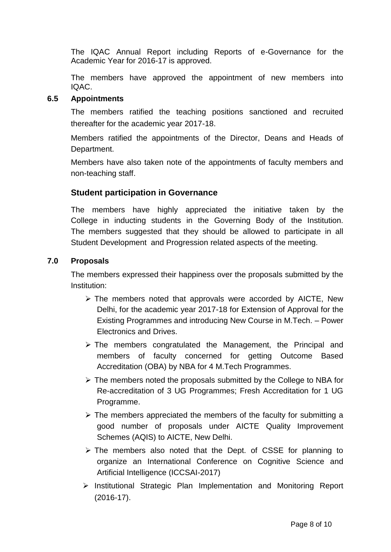The IQAC Annual Report including Reports of e-Governance for the Academic Year for 2016-17 is approved.

The members have approved the appointment of new members into IQAC.

## **6.5 Appointments**

The members ratified the teaching positions sanctioned and recruited thereafter for the academic year 2017-18.

Members ratified the appointments of the Director, Deans and Heads of Department.

Members have also taken note of the appointments of faculty members and non-teaching staff.

# **Student participation in Governance**

The members have highly appreciated the initiative taken by the College in inducting students in the Governing Body of the Institution. The members suggested that they should be allowed to participate in all Student Development and Progression related aspects of the meeting.

## **7.0 Proposals**

The members expressed their happiness over the proposals submitted by the Institution:

- $\triangleright$  The members noted that approvals were accorded by AICTE, New Delhi, for the academic year 2017-18 for Extension of Approval for the Existing Programmes and introducing New Course in M.Tech. – Power Electronics and Drives.
- $\triangleright$  The members congratulated the Management, the Principal and members of faculty concerned for getting Outcome Based Accreditation (OBA) by NBA for 4 M.Tech Programmes.
- $\triangleright$  The members noted the proposals submitted by the College to NBA for Re-accreditation of 3 UG Programmes; Fresh Accreditation for 1 UG Programme.
- $\triangleright$  The members appreciated the members of the faculty for submitting a good number of proposals under AICTE Quality Improvement Schemes (AQIS) to AICTE, New Delhi.
- $\triangleright$  The members also noted that the Dept. of CSSE for planning to organize an International Conference on Cognitive Science and Artificial Intelligence (ICCSAI-2017)
- $\triangleright$  Institutional Strategic Plan Implementation and Monitoring Report (2016-17).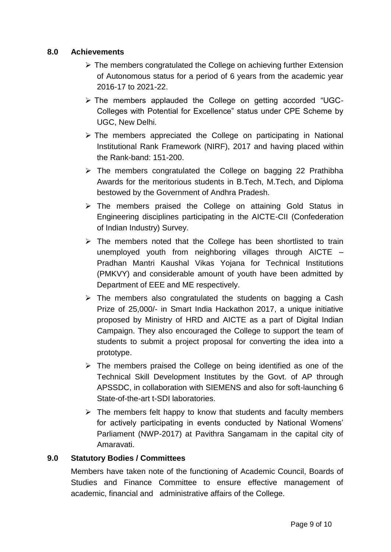# **8.0 Achievements**

- $\triangleright$  The members congratulated the College on achieving further Extension of Autonomous status for a period of 6 years from the academic year 2016-17 to 2021-22.
- The members applauded the College on getting accorded "UGC-Colleges with Potential for Excellence" status under CPE Scheme by UGC, New Delhi.
- $\triangleright$  The members appreciated the College on participating in National Institutional Rank Framework (NIRF), 2017 and having placed within the Rank-band: 151-200.
- $\triangleright$  The members congratulated the College on bagging 22 Prathibha Awards for the meritorious students in B.Tech, M.Tech, and Diploma bestowed by the Government of Andhra Pradesh.
- The members praised the College on attaining Gold Status in Engineering disciplines participating in the AICTE-CII (Confederation of Indian Industry) Survey.
- $\triangleright$  The members noted that the College has been shortlisted to train unemployed youth from neighboring villages through AICTE – Pradhan Mantri Kaushal Vikas Yojana for Technical Institutions (PMKVY) and considerable amount of youth have been admitted by Department of EEE and ME respectively.
- $\triangleright$  The members also congratulated the students on bagging a Cash Prize of 25,000/- in Smart India Hackathon 2017, a unique initiative proposed by Ministry of HRD and AICTE as a part of Digital Indian Campaign. They also encouraged the College to support the team of students to submit a project proposal for converting the idea into a prototype.
- $\triangleright$  The members praised the College on being identified as one of the Technical Skill Development Institutes by the Govt. of AP through APSSDC, in collaboration with SIEMENS and also for soft-launching 6 State-of-the-art t-SDI laboratories.
- $\triangleright$  The members felt happy to know that students and faculty members for actively participating in events conducted by National Womens" Parliament (NWP-2017) at Pavithra Sangamam in the capital city of Amaravati.

# **9.0 Statutory Bodies / Committees**

Members have taken note of the functioning of Academic Council, Boards of Studies and Finance Committee to ensure effective management of academic, financial and administrative affairs of the College.